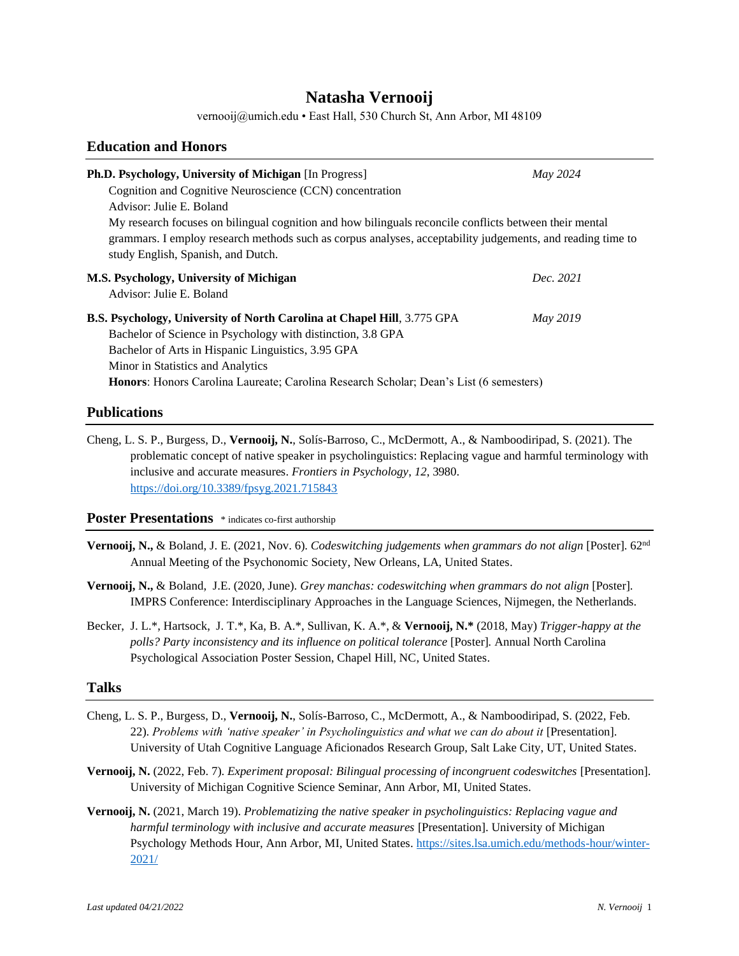# **Natasha Vernooij**

vernooij@umich.edu • East Hall, 530 Church St, Ann Arbor, MI 48109

### **Education and Honors**

| Ph.D. Psychology, University of Michigan [In Progress]                                                                                           | May 2024        |  |
|--------------------------------------------------------------------------------------------------------------------------------------------------|-----------------|--|
| Cognition and Cognitive Neuroscience (CCN) concentration                                                                                         |                 |  |
| Advisor: Julie E. Boland                                                                                                                         |                 |  |
| My research focuses on bilingual cognition and how bilinguals reconcile conflicts between their mental                                           |                 |  |
| grammars. I employ research methods such as corpus analyses, acceptability judgements, and reading time to<br>study English, Spanish, and Dutch. |                 |  |
| M.S. Psychology, University of Michigan                                                                                                          | Dec. 2021       |  |
| Advisor: Julie E. Boland                                                                                                                         |                 |  |
| B.S. Psychology, University of North Carolina at Chapel Hill, 3.775 GPA                                                                          | <b>May 2019</b> |  |
| Bachelor of Science in Psychology with distinction, 3.8 GPA                                                                                      |                 |  |
| Bachelor of Arts in Hispanic Linguistics, 3.95 GPA                                                                                               |                 |  |
| Minor in Statistics and Analytics                                                                                                                |                 |  |
| Honors: Honors Carolina Laureate; Carolina Research Scholar; Dean's List (6 semesters)                                                           |                 |  |

### **Publications**

Cheng, L. S. P., Burgess, D., **Vernooij, N.**, Solís-Barroso, C., McDermott, A., & Namboodiripad, S. (2021). The problematic concept of native speaker in psycholinguistics: Replacing vague and harmful terminology with inclusive and accurate measures. *Frontiers in Psychology*, *12*, 3980. <https://doi.org/10.3389/fpsyg.2021.715843>

### **Poster Presentations** \* indicates co-first authorship

- **Vernooij, N.,** & Boland, J. E. (2021, Nov. 6). *Codeswitching judgements when grammars do not align* [Poster]. 62nd Annual Meeting of the Psychonomic Society, New Orleans, LA, United States.
- **Vernooij, N.,** & Boland, J.E. (2020, June). *Grey manchas: codeswitching when grammars do not align* [Poster]. IMPRS Conference: Interdisciplinary Approaches in the Language Sciences, Nijmegen, the Netherlands.
- Becker, J. L.\*, Hartsock, J. T.\*, Ka, B. A.\*, Sullivan, K. A.\*, & **Vernooij, N.\*** (2018, May) *Trigger-happy at the polls? Party inconsistency and its influence on political tolerance* [Poster]*.* Annual North Carolina Psychological Association Poster Session, Chapel Hill, NC, United States.

### **Talks**

- Cheng, L. S. P., Burgess, D., **Vernooij, N.**, Solís-Barroso, C., McDermott, A., & Namboodiripad, S. (2022, Feb. 22). *Problems with 'native speaker' in Psycholinguistics and what we can do about it* [Presentation]. University of Utah Cognitive Language Aficionados Research Group, Salt Lake City, UT, United States.
- **Vernooij, N.** (2022, Feb. 7). *Experiment proposal: Bilingual processing of incongruent codeswitches* [Presentation]. University of Michigan Cognitive Science Seminar, Ann Arbor, MI, United States.
- **Vernooij, N.** (2021, March 19). *Problematizing the native speaker in psycholinguistics: Replacing vague and harmful terminology with inclusive and accurate measures* [Presentation]. University of Michigan Psychology Methods Hour, Ann Arbor, MI, United States. [https://sites.lsa.umich.edu/methods-hour/winter-](https://sites.lsa.umich.edu/methods-hour/winter-2021/)[2021/](https://sites.lsa.umich.edu/methods-hour/winter-2021/)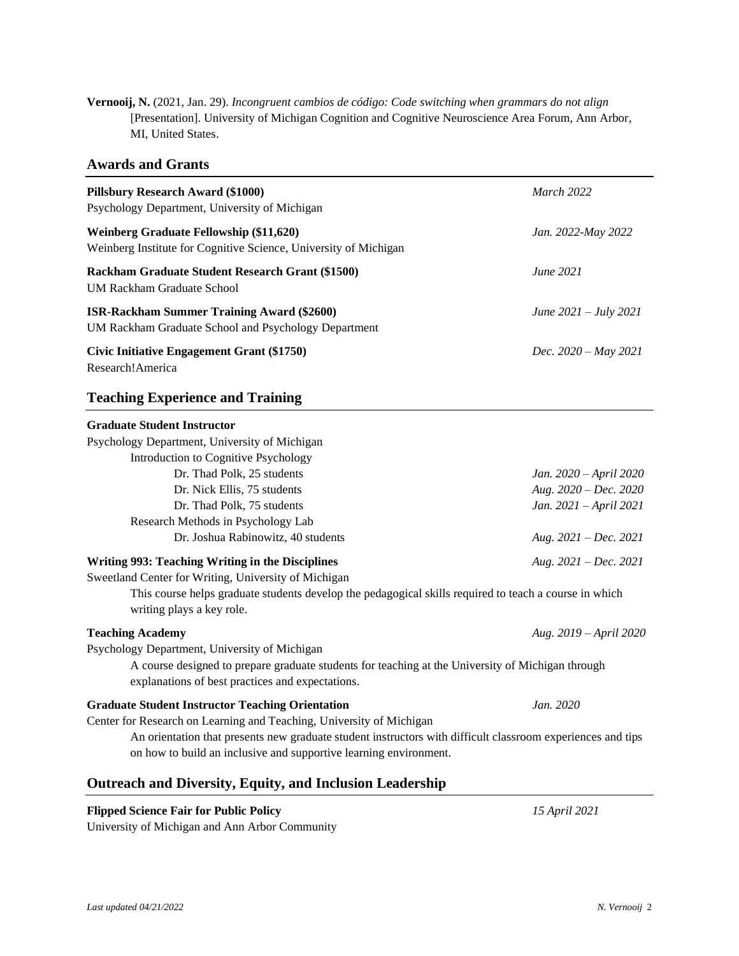**Vernooij, N.** (2021, Jan. 29). *Incongruent cambios de código: Code switching when grammars do not align* [Presentation]. University of Michigan Cognition and Cognitive Neuroscience Area Forum, Ann Arbor, MI, United States.

### **Awards and Grants**

| <b>Pillsbury Research Award (\$1000)</b><br>Psychology Department, University of Michigan                   | <b>March 2022</b>               |
|-------------------------------------------------------------------------------------------------------------|---------------------------------|
| Weinberg Graduate Fellowship (\$11,620)<br>Weinberg Institute for Cognitive Science, University of Michigan | Jan. 2022-May 2022              |
| <b>Rackham Graduate Student Research Grant (\$1500)</b><br>UM Rackham Graduate School                       | <b>June 2021</b>                |
| <b>ISR-Rackham Summer Training Award (\$2600)</b><br>UM Rackham Graduate School and Psychology Department   | June $2021 - \text{July } 2021$ |
| <b>Civic Initiative Engagement Grant (\$1750)</b><br>Research!America                                       | Dec. $2020 - May 2021$          |

## **Teaching Experience and Training**

| <b>Graduate Student Instructor</b>                                                                                                                    |                         |
|-------------------------------------------------------------------------------------------------------------------------------------------------------|-------------------------|
| Psychology Department, University of Michigan                                                                                                         |                         |
| Introduction to Cognitive Psychology                                                                                                                  |                         |
| Dr. Thad Polk, 25 students                                                                                                                            | Jan. 2020 – April 2020  |
| Dr. Nick Ellis, 75 students                                                                                                                           | Aug. $2020 - Dec. 2020$ |
| Dr. Thad Polk, 75 students                                                                                                                            | Jan. 2021 - April 2021  |
| Research Methods in Psychology Lab                                                                                                                    |                         |
| Dr. Joshua Rabinowitz, 40 students                                                                                                                    | Aug. $2021 - Dec. 2021$ |
| <b>Writing 993: Teaching Writing in the Disciplines</b>                                                                                               | Aug. $2021 - Dec. 2021$ |
| Sweetland Center for Writing, University of Michigan                                                                                                  |                         |
| This course helps graduate students develop the pedagogical skills required to teach a course in which<br>writing plays a key role.                   |                         |
| <b>Teaching Academy</b>                                                                                                                               | Aug. 2019 – April 2020  |
| Psychology Department, University of Michigan                                                                                                         |                         |
| A course designed to prepare graduate students for teaching at the University of Michigan through<br>explanations of best practices and expectations. |                         |
| <b>Graduate Student Instructor Teaching Orientation</b>                                                                                               | Jan. 2020               |
| Center for Research on Learning and Teaching, University of Michigan                                                                                  |                         |
| An orientation that presents new graduate student instructors with difficult classroom experiences and tips                                           |                         |
| on how to build an inclusive and supportive learning environment.                                                                                     |                         |

## **Outreach and Diversity, Equity, and Inclusion Leadership**

### **Flipped Science Fair for Public Policy** *15 April 2021*

University of Michigan and Ann Arbor Community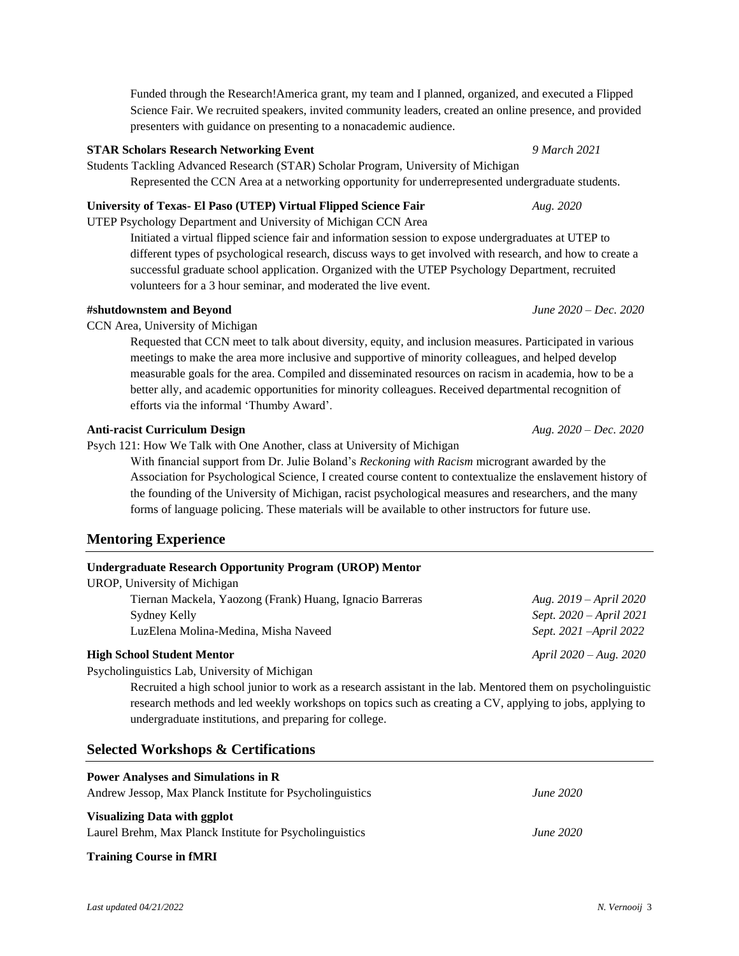Funded through the Research!America grant, my team and I planned, organized, and executed a Flipped Science Fair. We recruited speakers, invited community leaders, created an online presence, and provided presenters with guidance on presenting to a nonacademic audience.

#### **STAR Scholars Research Networking Event** *9 March 2021*

Students Tackling Advanced Research (STAR) Scholar Program, University of Michigan Represented the CCN Area at a networking opportunity for underrepresented undergraduate students.

#### **University of Texas- El Paso (UTEP) Virtual Flipped Science Fair** *Aug. 2020*

UTEP Psychology Department and University of Michigan CCN Area

Initiated a virtual flipped science fair and information session to expose undergraduates at UTEP to different types of psychological research, discuss ways to get involved with research, and how to create a successful graduate school application. Organized with the UTEP Psychology Department, recruited volunteers for a 3 hour seminar, and moderated the live event.

#### **#shutdownstem and Beyond** *June 2020 – Dec. 2020*

CCN Area, University of Michigan

Requested that CCN meet to talk about diversity, equity, and inclusion measures. Participated in various meetings to make the area more inclusive and supportive of minority colleagues, and helped develop measurable goals for the area. Compiled and disseminated resources on racism in academia, how to be a better ally, and academic opportunities for minority colleagues. Received departmental recognition of efforts via the informal 'Thumby Award'.

#### **Anti-racist Curriculum Design** *Aug. 2020 – Dec. 2020*

Psych 121: How We Talk with One Another, class at University of Michigan

With financial support from Dr. Julie Boland's *Reckoning with Racism* microgrant awarded by the Association for Psychological Science, I created course content to contextualize the enslavement history of the founding of the University of Michigan, racist psychological measures and researchers, and the many forms of language policing. These materials will be available to other instructors for future use.

### **Mentoring Experience**

| <b>Undergraduate Research Opportunity Program (UROP) Mentor</b> |  |  |  |
|-----------------------------------------------------------------|--|--|--|
|                                                                 |  |  |  |

| UROP, University of Michigan                             |                          |
|----------------------------------------------------------|--------------------------|
| Tiernan Mackela, Yaozong (Frank) Huang, Ignacio Barreras | Aug. 2019 – April 2020   |
| Sydney Kelly                                             | Sept. 2020 – April 2021  |
| Luz Elena Molina-Medina, Misha Naveed                    | Sept. 2021 – April 2022  |
| <b>High School Student Mentor</b>                        | April $2020 - Aug. 2020$ |

### Psycholinguistics Lab, University of Michigan

Recruited a high school junior to work as a research assistant in the lab. Mentored them on psycholinguistic research methods and led weekly workshops on topics such as creating a CV, applying to jobs, applying to undergraduate institutions, and preparing for college.

### **Selected Workshops & Certifications**

| <b>June 2020</b> |
|------------------|
|                  |
| <b>June 2020</b> |
|                  |

#### **Training Course in fMRI**